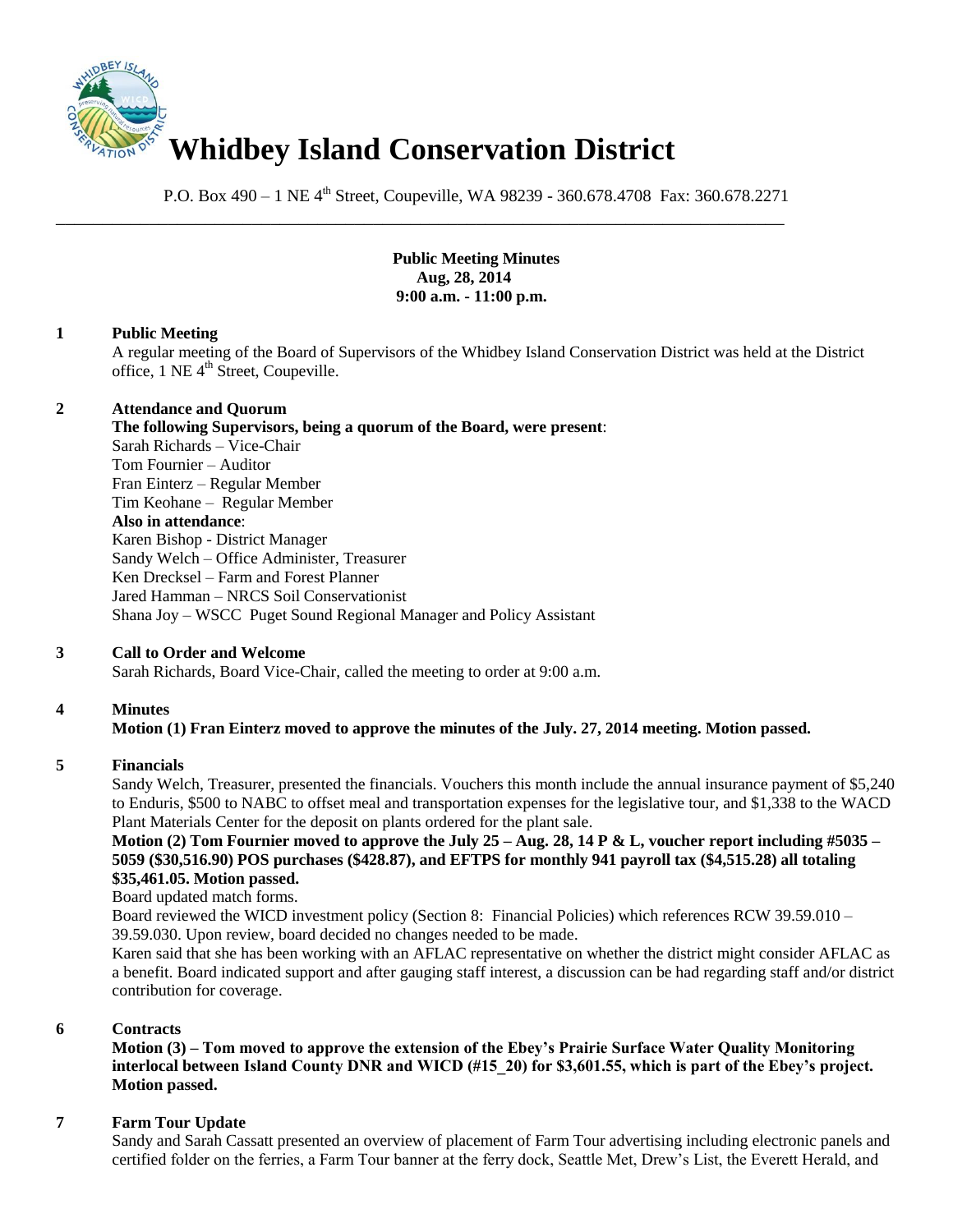

P.O. Box 490 – 1 NE 4<sup>th</sup> Street, Coupeville, WA 98239 - 360.678.4708 Fax: 360.678.2271

\_\_\_\_\_\_\_\_\_\_\_\_\_\_\_\_\_\_\_\_\_\_\_\_\_\_\_\_\_\_\_\_\_\_\_\_\_\_\_\_\_\_\_\_\_\_\_\_\_\_\_\_\_\_\_\_\_\_\_\_\_\_\_\_\_\_\_\_\_\_\_\_\_\_\_\_\_\_

**Public Meeting Minutes Aug, 28, 2014 9:00 a.m. - 11:00 p.m.**

### **1 Public Meeting**

A regular meeting of the Board of Supervisors of the Whidbey Island Conservation District was held at the District office, 1 NE 4<sup>th</sup> Street, Coupeville.

### **2 Attendance and Quorum**

**The following Supervisors, being a quorum of the Board, were present**: Sarah Richards – Vice-Chair Tom Fournier – Auditor Fran Einterz – Regular Member Tim Keohane – Regular Member **Also in attendance**: Karen Bishop - District Manager Sandy Welch – Office Administer, Treasurer Ken Drecksel – Farm and Forest Planner Jared Hamman – NRCS Soil Conservationist Shana Joy – WSCC Puget Sound Regional Manager and Policy Assistant

## **3 Call to Order and Welcome**

Sarah Richards, Board Vice-Chair, called the meeting to order at 9:00 a.m.

## **4 Minutes**

## **Motion (1) Fran Einterz moved to approve the minutes of the July. 27, 2014 meeting. Motion passed.**

#### **5 Financials**

Sandy Welch, Treasurer, presented the financials. Vouchers this month include the annual insurance payment of \$5,240 to Enduris, \$500 to NABC to offset meal and transportation expenses for the legislative tour, and \$1,338 to the WACD Plant Materials Center for the deposit on plants ordered for the plant sale.

# **Motion (2) Tom Fournier moved to approve the July 25 – Aug. 28, 14 P & L, voucher report including #5035 – 5059 (\$30,516.90) POS purchases (\$428.87), and EFTPS for monthly 941 payroll tax (\$4,515.28) all totaling \$35,461.05. Motion passed.**

Board updated match forms.

Board reviewed the WICD investment policy (Section 8: Financial Policies) which references RCW 39.59.010 – 39.59.030. Upon review, board decided no changes needed to be made.

Karen said that she has been working with an AFLAC representative on whether the district might consider AFLAC as a benefit. Board indicated support and after gauging staff interest, a discussion can be had regarding staff and/or district contribution for coverage.

# **6 Contracts**

**Motion (3) – Tom moved to approve the extension of the Ebey's Prairie Surface Water Quality Monitoring interlocal between Island County DNR and WICD (#15\_20) for \$3,601.55, which is part of the Ebey's project. Motion passed.** 

## **7 Farm Tour Update**

Sandy and Sarah Cassatt presented an overview of placement of Farm Tour advertising including electronic panels and certified folder on the ferries, a Farm Tour banner at the ferry dock, Seattle Met, Drew's List, the Everett Herald, and